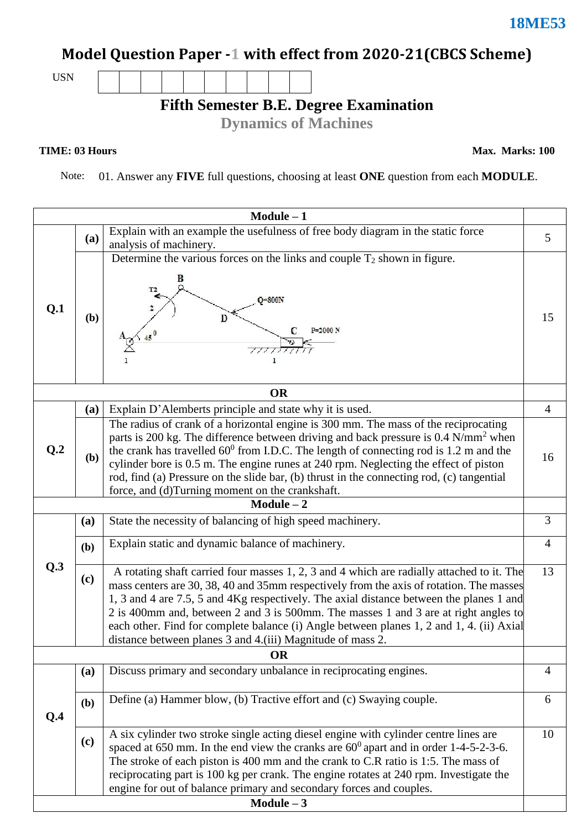# **Model Question Paper -1 with effect from 2020-21(CBCS Scheme)**

USN

**Fifth Semester B.E. Degree Examination**

**Dynamics of Machines**

**TIME: 03 Hours** Max. Marks: 100

Note: 01. Answer any **FIVE** full questions, choosing at least **ONE** question from each **MODULE**.

| $Module - 1$    |              |                                                                                                 |                |  |  |  |
|-----------------|--------------|-------------------------------------------------------------------------------------------------|----------------|--|--|--|
|                 |              | Explain with an example the usefulness of free body diagram in the static force                 | 5              |  |  |  |
|                 | (a)          | analysis of machinery.                                                                          |                |  |  |  |
|                 |              | Determine the various forces on the links and couple $T_2$ shown in figure.                     |                |  |  |  |
|                 |              | B                                                                                               |                |  |  |  |
|                 |              | T <sub>2</sub>                                                                                  |                |  |  |  |
|                 |              | $O=800N$                                                                                        |                |  |  |  |
| Q.1             | (b)          | D                                                                                               | 15             |  |  |  |
|                 |              | C<br>P=2000 N                                                                                   |                |  |  |  |
|                 |              |                                                                                                 |                |  |  |  |
|                 |              |                                                                                                 |                |  |  |  |
|                 |              |                                                                                                 |                |  |  |  |
|                 | <b>OR</b>    |                                                                                                 |                |  |  |  |
|                 | (a)          | Explain D'Alemberts principle and state why it is used.                                         | $\overline{4}$ |  |  |  |
|                 |              | The radius of crank of a horizontal engine is 300 mm. The mass of the reciprocating             |                |  |  |  |
|                 |              | parts is 200 kg. The difference between driving and back pressure is 0.4 N/mm <sup>2</sup> when |                |  |  |  |
| Q <sub>.2</sub> |              | the crank has travelled $60^{\circ}$ from I.D.C. The length of connecting rod is 1.2 m and the  |                |  |  |  |
|                 | ( <b>b</b> ) | cylinder bore is 0.5 m. The engine runes at 240 rpm. Neglecting the effect of piston            | 16             |  |  |  |
|                 |              | rod, find (a) Pressure on the slide bar, (b) thrust in the connecting rod, (c) tangential       |                |  |  |  |
|                 |              | force, and (d)Turning moment on the crankshaft.                                                 |                |  |  |  |
|                 |              | $Module - 2$                                                                                    |                |  |  |  |
|                 | (a)          | State the necessity of balancing of high speed machinery.                                       | 3              |  |  |  |
|                 |              | Explain static and dynamic balance of machinery.                                                | $\overline{4}$ |  |  |  |
|                 | (b)          |                                                                                                 |                |  |  |  |
| Q.3             |              | A rotating shaft carried four masses 1, 2, 3 and 4 which are radially attached to it. The       | 13             |  |  |  |
|                 | (c)          | mass centers are 30, 38, 40 and 35mm respectively from the axis of rotation. The masses         |                |  |  |  |
|                 |              | 1, 3 and 4 are 7.5, 5 and 4Kg respectively. The axial distance between the planes 1 and         |                |  |  |  |
|                 |              | 2 is 400mm and, between 2 and 3 is 500mm. The masses 1 and 3 are at right angles to             |                |  |  |  |
|                 |              | each other. Find for complete balance (i) Angle between planes 1, 2 and 1, 4. (ii) Axial        |                |  |  |  |
|                 |              | distance between planes 3 and 4.(iii) Magnitude of mass 2.                                      |                |  |  |  |
| <b>OR</b>       |              |                                                                                                 |                |  |  |  |
|                 | (a)          | Discuss primary and secondary unbalance in reciprocating engines.                               | $\overline{4}$ |  |  |  |
|                 |              |                                                                                                 |                |  |  |  |
|                 | (b)          | Define (a) Hammer blow, (b) Tractive effort and (c) Swaying couple.                             | 6              |  |  |  |
| Q.4             |              |                                                                                                 |                |  |  |  |
|                 | (c)          | A six cylinder two stroke single acting diesel engine with cylinder centre lines are            | 10             |  |  |  |
|                 |              | spaced at 650 mm. In the end view the cranks are $60^{\circ}$ apart and in order 1-4-5-2-3-6.   |                |  |  |  |
|                 |              | The stroke of each piston is 400 mm and the crank to C.R ratio is 1:5. The mass of              |                |  |  |  |
|                 |              | reciprocating part is 100 kg per crank. The engine rotates at 240 rpm. Investigate the          |                |  |  |  |
|                 |              | engine for out of balance primary and secondary forces and couples.                             |                |  |  |  |
| $Module - 3$    |              |                                                                                                 |                |  |  |  |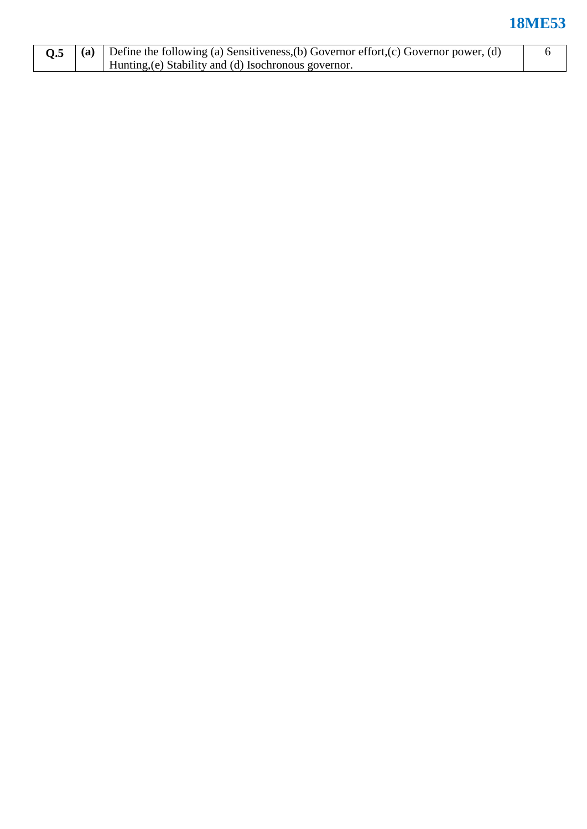### **18ME53**

|  | (a) Define the following (a) Sensitiveness, (b) Governor effort, (c) Governor power, (d) |  |  |  |  |
|--|------------------------------------------------------------------------------------------|--|--|--|--|
|  | Hunting, (e) Stability and (d) Isochronous governor.                                     |  |  |  |  |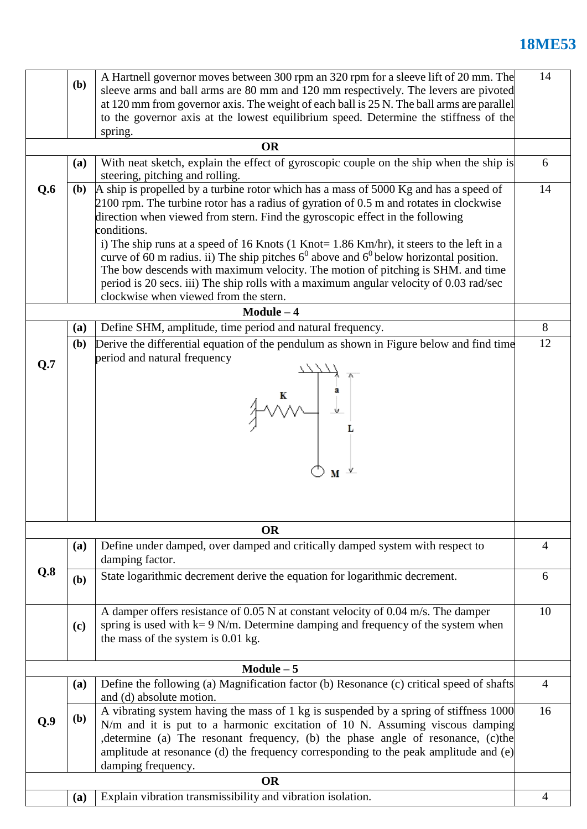# **18ME53**

|                                                                                                                                 | A Hartnell governor moves between 300 rpm an 320 rpm for a sleeve lift of 20 mm. The<br>(b)<br>sleeve arms and ball arms are 80 mm and 120 mm respectively. The levers are pivoted<br>at 120 mm from governor axis. The weight of each ball is 25 N. The ball arms are parallel<br>to the governor axis at the lowest equilibrium speed. Determine the stiffness of the<br>spring.                                                                                                                                        |                                                                                                                                                                                                                                                                                                                                                                                                                                                                                                                                                                 |                |  |  |  |  |
|---------------------------------------------------------------------------------------------------------------------------------|---------------------------------------------------------------------------------------------------------------------------------------------------------------------------------------------------------------------------------------------------------------------------------------------------------------------------------------------------------------------------------------------------------------------------------------------------------------------------------------------------------------------------|-----------------------------------------------------------------------------------------------------------------------------------------------------------------------------------------------------------------------------------------------------------------------------------------------------------------------------------------------------------------------------------------------------------------------------------------------------------------------------------------------------------------------------------------------------------------|----------------|--|--|--|--|
|                                                                                                                                 |                                                                                                                                                                                                                                                                                                                                                                                                                                                                                                                           | <b>OR</b>                                                                                                                                                                                                                                                                                                                                                                                                                                                                                                                                                       |                |  |  |  |  |
|                                                                                                                                 | With neat sketch, explain the effect of gyroscopic couple on the ship when the ship is<br>(a)<br>steering, pitching and rolling.                                                                                                                                                                                                                                                                                                                                                                                          |                                                                                                                                                                                                                                                                                                                                                                                                                                                                                                                                                                 |                |  |  |  |  |
| Q.6                                                                                                                             | (b)                                                                                                                                                                                                                                                                                                                                                                                                                                                                                                                       | A ship is propelled by a turbine rotor which has a mass of 5000 Kg and has a speed of<br>$2100$ rpm. The turbine rotor has a radius of gyration of 0.5 m and rotates in clockwise<br>direction when viewed from stern. Find the gyroscopic effect in the following<br>conditions.<br>i) The ship runs at a speed of 16 Knots (1 Knot= 1.86 Km/hr), it steers to the left in a<br>curve of 60 m radius. ii) The ship pitches $6^0$ above and $6^0$ below horizontal position.<br>The bow descends with maximum velocity. The motion of pitching is SHM. and time |                |  |  |  |  |
| period is 20 secs. iii) The ship rolls with a maximum angular velocity of 0.03 rad/sec<br>clockwise when viewed from the stern. |                                                                                                                                                                                                                                                                                                                                                                                                                                                                                                                           |                                                                                                                                                                                                                                                                                                                                                                                                                                                                                                                                                                 |                |  |  |  |  |
|                                                                                                                                 |                                                                                                                                                                                                                                                                                                                                                                                                                                                                                                                           | $Module - 4$                                                                                                                                                                                                                                                                                                                                                                                                                                                                                                                                                    |                |  |  |  |  |
|                                                                                                                                 | (a)                                                                                                                                                                                                                                                                                                                                                                                                                                                                                                                       | Define SHM, amplitude, time period and natural frequency.                                                                                                                                                                                                                                                                                                                                                                                                                                                                                                       | 8              |  |  |  |  |
| Q.7                                                                                                                             | Derive the differential equation of the pendulum as shown in Figure below and find time<br>( <b>b</b> )<br>period and natural frequency<br>$\begin{picture}(120,115) \put(0,0){\vector(1,0){150}} \put(15,0){\vector(1,0){150}} \put(15,0){\vector(1,0){150}} \put(15,0){\vector(1,0){150}} \put(15,0){\vector(1,0){150}} \put(15,0){\vector(1,0){150}} \put(15,0){\vector(1,0){150}} \put(15,0){\vector(1,0){150}} \put(15,0){\vector(1,0){150}} \put(15,0){\vector(1,0){150}} \put(15,0){\vector(1,0){150$<br><b>OR</b> |                                                                                                                                                                                                                                                                                                                                                                                                                                                                                                                                                                 |                |  |  |  |  |
|                                                                                                                                 |                                                                                                                                                                                                                                                                                                                                                                                                                                                                                                                           | Define under damped, over damped and critically damped system with respect to<br>(a)<br>damping factor.                                                                                                                                                                                                                                                                                                                                                                                                                                                         |                |  |  |  |  |
| Q.8                                                                                                                             | (b)                                                                                                                                                                                                                                                                                                                                                                                                                                                                                                                       | State logarithmic decrement derive the equation for logarithmic decrement.                                                                                                                                                                                                                                                                                                                                                                                                                                                                                      |                |  |  |  |  |
|                                                                                                                                 | A damper offers resistance of $0.05$ N at constant velocity of $0.04$ m/s. The damper<br>spring is used with $k = 9$ N/m. Determine damping and frequency of the system when<br>(c)<br>the mass of the system is 0.01 kg.                                                                                                                                                                                                                                                                                                 |                                                                                                                                                                                                                                                                                                                                                                                                                                                                                                                                                                 |                |  |  |  |  |
|                                                                                                                                 | $Module - 5$                                                                                                                                                                                                                                                                                                                                                                                                                                                                                                              |                                                                                                                                                                                                                                                                                                                                                                                                                                                                                                                                                                 |                |  |  |  |  |
|                                                                                                                                 | (a)                                                                                                                                                                                                                                                                                                                                                                                                                                                                                                                       | Define the following (a) Magnification factor (b) Resonance (c) critical speed of shafts<br>and (d) absolute motion.                                                                                                                                                                                                                                                                                                                                                                                                                                            | $\overline{4}$ |  |  |  |  |
| Q.9                                                                                                                             | ( <b>b</b> )                                                                                                                                                                                                                                                                                                                                                                                                                                                                                                              | A vibrating system having the mass of 1 kg is suspended by a spring of stiffness 1000<br>N/m and it is put to a harmonic excitation of 10 N. Assuming viscous damping<br>determine (a) The resonant frequency, (b) the phase angle of resonance, (c)the<br>amplitude at resonance (d) the frequency corresponding to the peak amplitude and (e)<br>damping frequency.                                                                                                                                                                                           |                |  |  |  |  |
|                                                                                                                                 | <b>OR</b>                                                                                                                                                                                                                                                                                                                                                                                                                                                                                                                 |                                                                                                                                                                                                                                                                                                                                                                                                                                                                                                                                                                 |                |  |  |  |  |
|                                                                                                                                 | (a)                                                                                                                                                                                                                                                                                                                                                                                                                                                                                                                       | Explain vibration transmissibility and vibration isolation.                                                                                                                                                                                                                                                                                                                                                                                                                                                                                                     | 4              |  |  |  |  |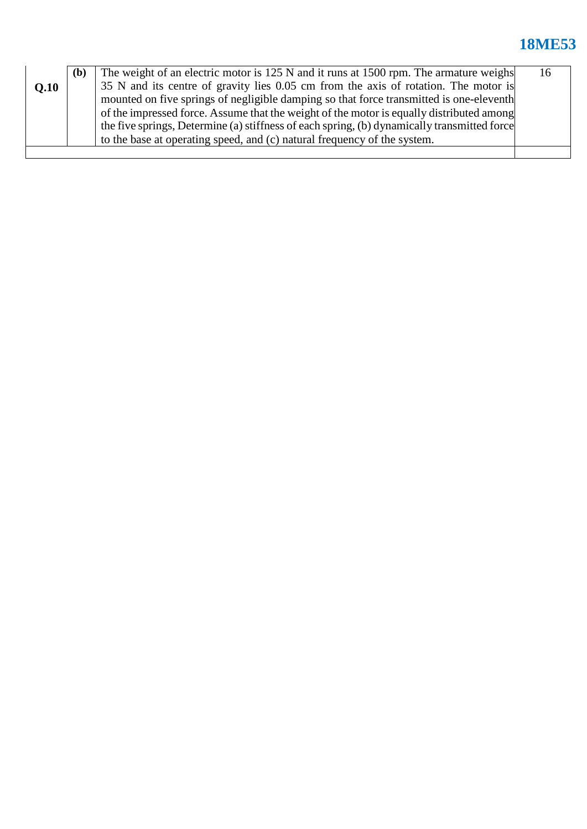## **18ME53**

|                                                                                          | The weight of an electric motor is 125 N and it runs at 1500 rpm. The armature weighs<br>( <b>b</b> ) |                                                                                             |  |  |  |
|------------------------------------------------------------------------------------------|-------------------------------------------------------------------------------------------------------|---------------------------------------------------------------------------------------------|--|--|--|
| O.10                                                                                     |                                                                                                       | 35 N and its centre of gravity lies 0.05 cm from the axis of rotation. The motor is         |  |  |  |
|                                                                                          |                                                                                                       | mounted on five springs of negligible damping so that force transmitted is one-eleventh     |  |  |  |
| of the impressed force. Assume that the weight of the motor is equally distributed among |                                                                                                       |                                                                                             |  |  |  |
|                                                                                          |                                                                                                       | the five springs, Determine (a) stiffness of each spring, (b) dynamically transmitted force |  |  |  |
|                                                                                          |                                                                                                       | to the base at operating speed, and (c) natural frequency of the system.                    |  |  |  |
|                                                                                          |                                                                                                       |                                                                                             |  |  |  |